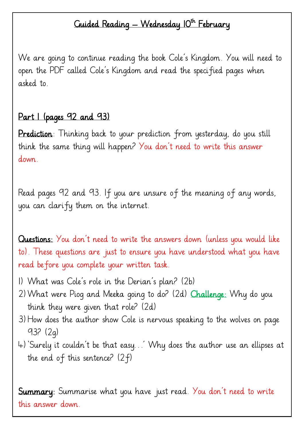## Guided Reading — Wednesday 10<sup>th</sup> February

We are going to continue reading the book Cole's Kingdom. You will need to open the PDF called Cole's Kingdom and read the specified pages when asked to.

## Part I (pages 92 and 93)

Prediction: Thinking back to your prediction from yesterday, do you still think the same thing will happen? You don't need to write this answer down.

Read pages 92 and 93. If you are unsure of the meaning of any words, you can clarify them on the internet.

Questions: You don't need to write the answers down (unless you would like to). These questions are just to ensure you have understood what you have read before you complete your written task.

- 1) What was Cole's role in the Derian's plan? (2b)
- 2)What were Piog and Meeka going to do? (2d) Challenge: Why do you think they were given that role? (2d)
- 3)How does the author show Cole is nervous speaking to the wolves on page 93? (2g)
- 4)'Surely it couldn't be that easy…' Why does the author use an ellipses at the end of this sentence? (2f)

Summary: Summarise what you have just read. You don't need to write this answer down.